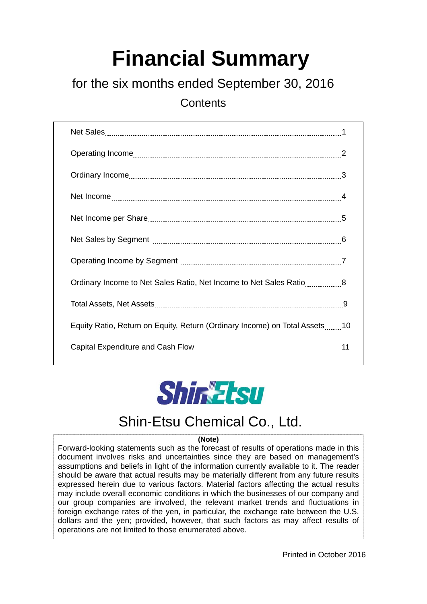## **Financial Summary**

## for the six months ended September 30, 2016

**Contents** 

| Ordinary Income to Net Sales Ratio, Net Income to Net Sales Ratio8         |  |
|----------------------------------------------------------------------------|--|
|                                                                            |  |
| Equity Ratio, Return on Equity, Return (Ordinary Income) on Total Assets10 |  |
|                                                                            |  |



## Shin-Etsu Chemical Co., Ltd.

#### **(Note)**

Forward-looking statements such as the forecast of results of operations made in this document involves risks and uncertainties since they are based on management's assumptions and beliefs in light of the information currently available to it. The reader should be aware that actual results may be materially different from any future results expressed herein due to various factors. Material factors affecting the actual results may include overall economic conditions in which the businesses of our company and our group companies are involved, the relevant market trends and fluctuations in foreign exchange rates of the yen, in particular, the exchange rate between the U.S. dollars and the yen; provided, however, that such factors as may affect results of operations are not limited to those enumerated above.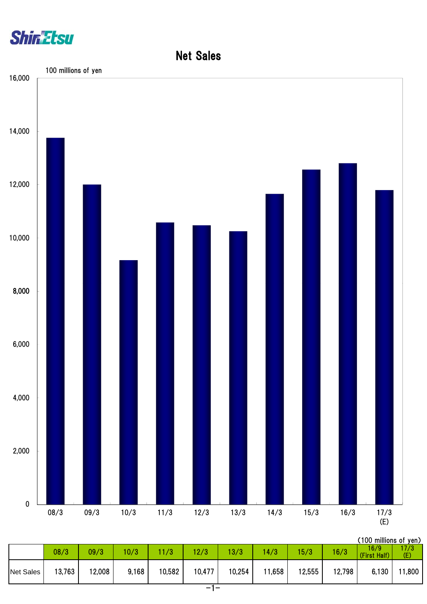



| (100 millions of yen) |  |
|-----------------------|--|
|                       |  |

|                  | 08/3   | 09/3   | 10/3  | 1/3    | 12/3   | 13/3   | 4/3    | 15/3   | 16/3   | 16/9<br>(First Half) | 17/3<br>(E) |
|------------------|--------|--------|-------|--------|--------|--------|--------|--------|--------|----------------------|-------------|
| <b>Net Sales</b> | 13,763 | 12,008 | 9,168 | 10,582 | 10,477 | 10,254 | 11,658 | 12,555 | 12,798 | 6,130                | 1,800       |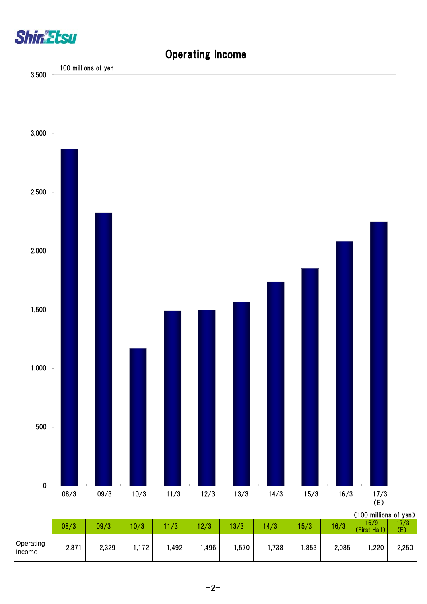

### Operating Income

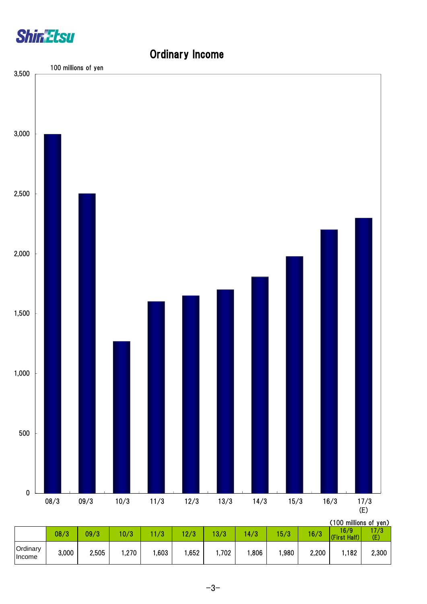

# Ordinary Income (100 millions of yen) 0 500 1,000 1,500 2,000 2,500 3,000 3,500 08/3 09/3 10/3 11/3 12/3 13/3 14/3 15/3 16/3 17/3 (E) 100 millions of yen

|                    |       |       |      |          |              |       |      |      |       | , I UU THIIIIONS OL YEN <i>)</i> |            |
|--------------------|-------|-------|------|----------|--------------|-------|------|------|-------|----------------------------------|------------|
|                    | 08/3  | 09/3  | 0/3  | 79<br>70 | 1010<br>27 J | 3/3   | 4/3  | 15/3 | 16/3  | 16/9<br>Half)<br>(First          | 7/3<br>(E) |
| Ordinary<br>Income | 3,000 | 2,505 | ,270 | ,603     | ,652         | 1,702 | ,806 | ,980 | 2,200 | 1,182                            | 2,300      |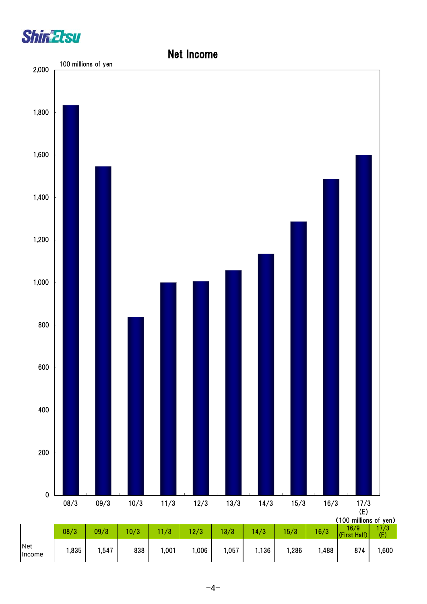



#### $-4-$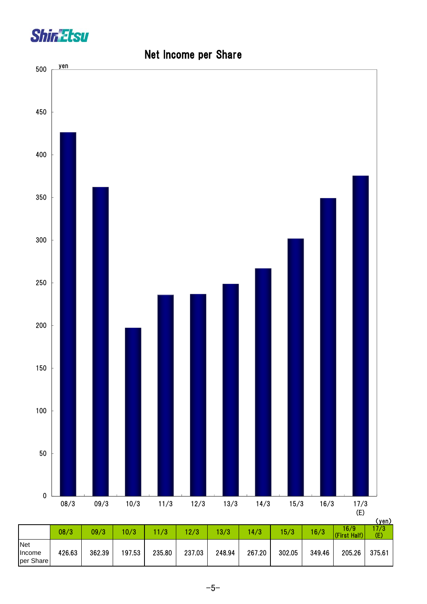



## Net Income per Share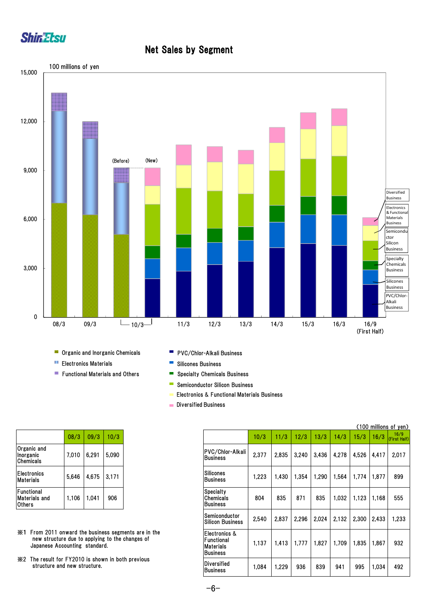

#### Net Sales by Segment



- × Organic and Inorganic Chemicals
- **Electronics Materials**
- **Functional Materials and Others**
- **PVC/Chlor-Alkali Business**
- $\blacksquare$ Silicones Business
- $\blacksquare$ Specialty Chemicals Business
- Ē, Semiconductor Silicon Business
- Electronics & Functional Materials Business
- **Diversified Business**

|                                        | 08/3  | 09/3  | 10/3  |
|----------------------------------------|-------|-------|-------|
| Organic and<br>Inorganic<br>Chemicals  | 7,010 | 6,291 | 5,090 |
| <b>Electronics</b><br><b>Materials</b> | 5,646 | 4,675 | 3,171 |
| Functional<br>Materials and<br>Others  | 1,106 | 1,041 | 906   |

- ※1 From 2011 onward the business segments are in the new structure due to applying to the changes of Japanese Accounting standard.
- ※2 The result for FY2010 is shown in both previous structure and new structure.

|                                                                                       |                                                 |       |       |                                                             |       |       |       |       |       |       | (100 millions of yen) |                      |
|---------------------------------------------------------------------------------------|-------------------------------------------------|-------|-------|-------------------------------------------------------------|-------|-------|-------|-------|-------|-------|-----------------------|----------------------|
|                                                                                       | 08/3                                            | 09/3  | 10/3  |                                                             | 10/3  | 11/3  | 12/3  | 13/3  | 14/3  | 15/3  | 16/3                  | 16/9<br>(First Half) |
| Organic and<br>Inorganic<br>Chemicals                                                 | 7.010                                           | 6,291 | 5,090 | PVC/Chlor-Alkali<br><b>IBusiness</b>                        | 2,377 | 2,835 | 3,240 | 3,436 | 4,278 | 4,526 | 4,417                 | 2.017                |
| Electronics<br>Materials                                                              | 5,646                                           | 4,675 | 3,171 | Silicones<br><b>Business</b>                                | 1,223 | 1,430 | 1,354 | 1.290 | 1.564 | 1,774 | 1.877                 | 899                  |
| Functional<br>Materials and<br>Others                                                 | 1,106                                           | 1,041 | 906   | <b>Specialty</b><br>Chemicals<br>Business                   | 804   | 835   | 871   | 835   | 1,032 | 1,123 | 1,168                 | 555                  |
|                                                                                       |                                                 |       |       | Semiconductor<br><b>Silicon Business</b>                    | 2,540 | 2,837 | 2.296 | 2.024 | 2.132 | 2,300 | 2.433                 | 1.233                |
| ※1 From 2011 onward the business segments are in the<br>Japanese Accounting standard. | new structure due to applying to the changes of |       |       | Electronics &<br>Functional<br>Materials<br><b>Business</b> | 1,137 | 1,413 | 1,777 | 1,827 | 1,709 | 1.835 | 1,867                 | 932                  |
| X2 The result for FY2010 is shown in both previous                                    | structure and new structure.                    |       |       | <b>Diversified</b><br><b>Business</b>                       | 1,084 | 1,229 | 936   | 839   | 941   | 995   | 1.034                 | 492                  |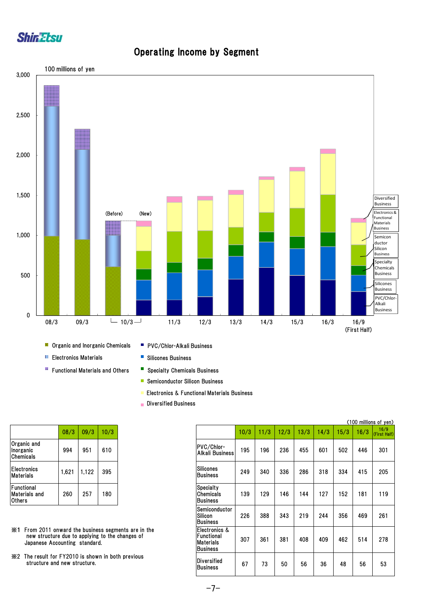



#### Operating Income by Segment

- **Electronics Materials**
- B Functional Materials and Others
- PVC/Chlor-Alkali Business
- Silicones Business
- **Specialty Chemicals Business**
- **Semiconductor Silicon Business**
- **Electronics & Functional Materials Business**
- Diversified Business

|                                       | 08/3  | 09/3  | 10/3 |
|---------------------------------------|-------|-------|------|
| Organic and<br>Inorganic<br>Chemicals | 994   | 951   | 610  |
| <b>Electronics</b><br>Materials       | 1,621 | 1,122 | 395  |
| Functional<br>Materials and<br>Others | 260   | 257   | 180  |

- ※1 From 2011 onward the business segments are in the new structure due to applying to the changes of Japanese Accounting standard.
- ※2 The result for FY2010 is shown in both previous structure and new structure.

|                                                                                        |       |       |      |                                                   |                                                                     |      |      |      |      |      |      | (100 millions of yen) |
|----------------------------------------------------------------------------------------|-------|-------|------|---------------------------------------------------|---------------------------------------------------------------------|------|------|------|------|------|------|-----------------------|
|                                                                                        | 08/3  | 09/3  | 10/3 |                                                   |                                                                     | 10/3 | 11/3 | 12/3 | 13/3 | 14/3 | 15/3 | 16/3                  |
| Organic and<br>Inorganic<br>Chemicals                                                  | 994   | 951   | 610  |                                                   | PVC/Chlor-<br>Alkali Business                                       | 195  | 196  | 236  | 455  | 601  | 502  | 446                   |
| Electronics<br>Materials                                                               | 1,621 | 1,122 | 395  |                                                   | <b>Silicones</b><br><b>IBusiness</b>                                | 249  | 340  | 336  | 286  | 318  | 334  | 415                   |
| Functional<br>Materials and<br>Others                                                  | 260   | 257   | 180  |                                                   | <b>Specialty</b><br>Chemicals<br><b>Business</b>                    | 139  | 129  | 146  | 144  | 127  | 152  | 181                   |
|                                                                                        |       |       |      |                                                   | Semiconductor<br>Silicon<br><b>Business</b>                         | 226  | 388  | 343  | 219  | 244  | 356  | 469                   |
| Ж1<br>new structure due to applying to the changes of<br>Japanese Accounting standard. |       |       |      | From 2011 onward the business segments are in the | IElectronics &<br>Functional<br><b>Materials</b><br><b>Business</b> | 307  | 361  | 381  | 408  | 409  | 462  | 514                   |
| ※2 The result for FY2010 is shown in both previous<br>structure and new structure.     |       |       |      |                                                   | Diversified<br><b>Business</b>                                      | 67   | 73   | 50   | 56   | 36   | 48   | 56                    |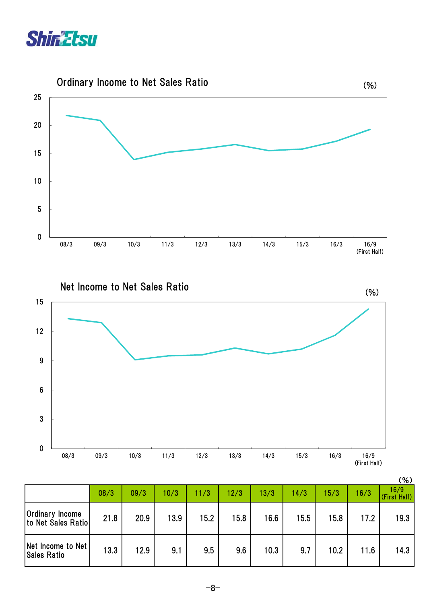



Net Income to Net Sales Ratio



|                                              |      |      |      |      |      |      |      |      |      | (%)                  |
|----------------------------------------------|------|------|------|------|------|------|------|------|------|----------------------|
|                                              | 08/3 | 09/3 | 10/3 | 11/3 | 12/3 | 13/3 | 14/3 | 15/3 | 16/3 | 16/9<br>(First Half) |
| <b>Ordinary Income</b><br>to Net Sales Ratio | 21.8 | 20.9 | 13.9 | 15.2 | 15.8 | 16.6 | 15.5 | 15.8 | 17.2 | 19.3                 |
| Net Income to Net<br><b>Sales Ratio</b>      | 13.3 | 12.9 | 9.1  | 9.5  | 9.6  | 10.3 | 9.7  | 10.2 | 11.6 | 14.3                 |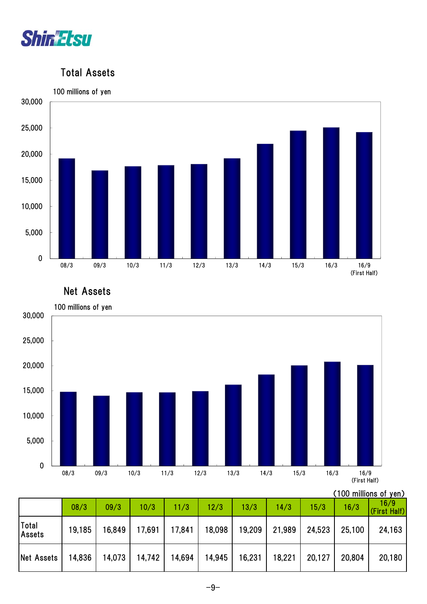

#### Total Assets



Net Assets



<sup>(100</sup> millions of yen)

|                        | 08/3   | 09/3   | 10/3   | 11/3   | 12/3   | 13/3   | 14/3   | 15/3   | 16/3   | 16/9<br>(First Half) |
|------------------------|--------|--------|--------|--------|--------|--------|--------|--------|--------|----------------------|
| Total<br><b>Assets</b> | 19,185 | 16,849 | 17,691 | 17,841 | 18,098 | 19,209 | 21,989 | 24,523 | 25,100 | 24,163               |
| Net Assets             | 14,836 | 14,073 | 14,742 | 14,694 | 14,945 | 16,231 | 18,221 | 20,127 | 20,804 | 20,180               |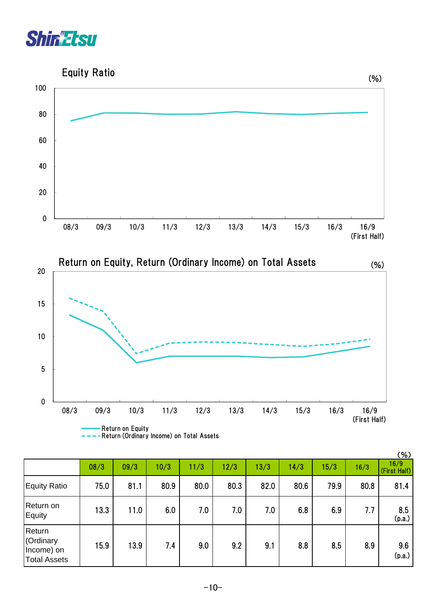



| ----Return (Ordinary Income) on Total Assets |  |
|----------------------------------------------|--|
|                                              |  |

|                                                          |      |      |      |      |      |      |      |      |      | (% )                 |
|----------------------------------------------------------|------|------|------|------|------|------|------|------|------|----------------------|
|                                                          | 08/3 | 09/3 | 10/3 | 11/3 | 12/3 | 13/3 | 14/3 | 15/3 | 16/3 | 16/9<br>(First Half) |
| <b>Equity Ratio</b>                                      | 75.0 | 81.1 | 80.9 | 80.0 | 80.3 | 82.0 | 80.6 | 79.9 | 80.8 | 81.4                 |
| Return on<br>Equity                                      | 13.3 | 11.0 | 6.0  | 7.0  | 7.0  | 7.0  | 6.8  | 6.9  | 7.7  | 8.5<br>(p.a.)        |
| Return<br>(Ordinary<br>Income) on<br><b>Total Assets</b> | 15.9 | 13.9 | 7.4  | 9.0  | 9.2  | 9.1  | 8.8  | 8.5  | 8.9  | 9.6<br>(p.a.)        |